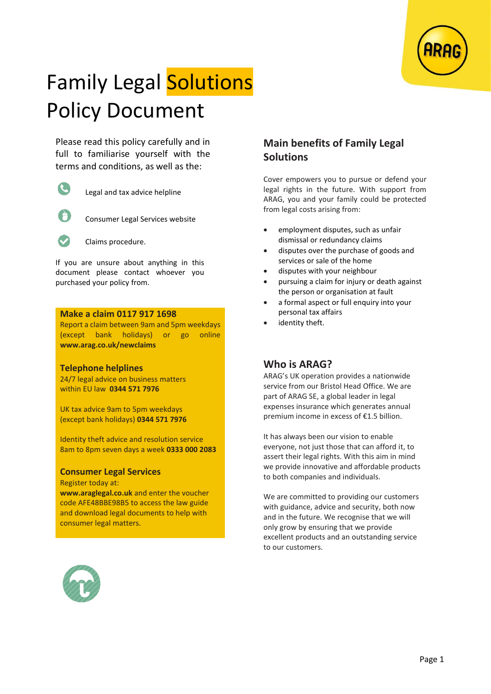

# Family Legal Solutions Policy Document

Please read this policy carefully and in full to familiarise yourself with the terms and conditions, as well as the:

|  | ш. |
|--|----|
|  |    |

Legal and tax advice helpline



Consumer Legal Services website



Claims procedure.

If you are unsure about anything in this document please contact whoever you purchased your policy from.

#### **Make a claim 0117 917 1698**

Report a claim between 9am and 5pm weekdays (except bank holidays) or go online **www.arag.co.uk/newclaims**

#### **Telephone helplines**

24/7 legal advice on business matters within EU law **0344 571 7976**

UK tax advice 9am to 5pm weekdays (except bank holidays) **0344 571 7976**

Identity theft advice and resolution service 8am to 8pm seven days a week **0333 000 2083**

## **Consumer Legal Services**

Register today at:

**www.araglegal.co.uk** and enter the voucher code AFE48BBE98B5 to access the law guide and download legal documents to help with consumer legal matters.



## **Main benefits of Family Legal Solutions**

Cover empowers you to pursue or defend your legal rights in the future. With support from ARAG, you and your family could be protected from legal costs arising from:

- employment disputes, such as unfair dismissal or redundancy claims
- disputes over the purchase of goods and services or sale of the home
- disputes with your neighbour
- pursuing a claim for injury or death against the person or organisation at fault
- a formal aspect or full enquiry into your personal tax affairs
- identity theft.

## **Who is ARAG?**

ARAG's UK operation provides a nationwide service from our Bristol Head Office. We are part of ARAG SE, a global leader in legal expenses insurance which generates annual premium income in excess of €1.5 billion.

It has always been our vision to enable everyone, not just those that can afford it, to assert their legal rights. With this aim in mind we provide innovative and affordable products to both companies and individuals.

We are committed to providing our customers with guidance, advice and security, both now and in the future. We recognise that we will only grow by ensuring that we provide excellent products and an outstanding service to our customers.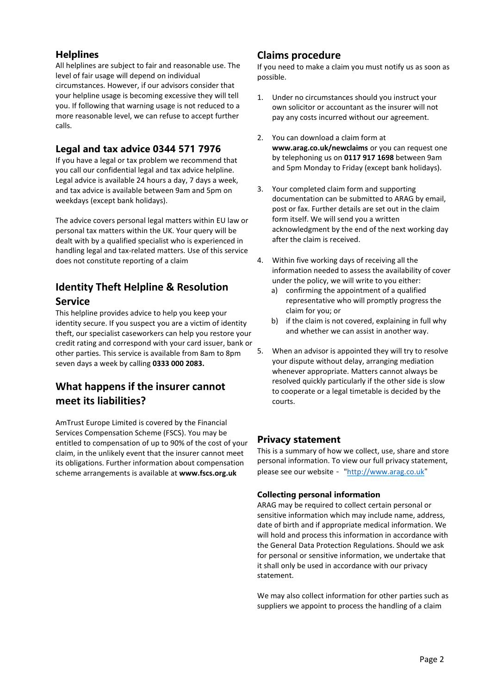## **Helplines**

All helplines are subject to fair and reasonable use. The level of fair usage will depend on individual circumstances. However, if our advisors consider that your helpline usage is becoming excessive they will tell you. If following that warning usage is not reduced to a more reasonable level, we can refuse to accept further calls.

## **Legal and tax advice 0344 571 7976**

If you have a legal or tax problem we recommend that you call our confidential legal and tax advice helpline. Legal advice is available 24 hours a day, 7 days a week, and tax advice is available between 9am and 5pm on weekdays (except bank holidays).

The advice covers personal legal matters within EU law or personal tax matters within the UK. Your query will be dealt with by a qualified specialist who is experienced in handling legal and tax-related matters. Use of this service does not constitute reporting of a claim

## **Identity Theft Helpline & Resolution Service**

This helpline provides advice to help you keep your identity secure. If you suspect you are a victim of identity theft, our specialist caseworkers can help you restore your credit rating and correspond with your card issuer, bank or other parties. This service is available from 8am to 8pm seven days a week by calling **0333 000 2083.** 

# **What happens if the insurer cannot meet its liabilities?**

AmTrust Europe Limited is covered by the Financial Services Compensation Scheme (FSCS). You may be entitled to compensation of up to 90% of the cost of your claim, in the unlikely event that the insurer cannot meet its obligations. Further information about compensation scheme arrangements is available at **www.fscs.org.uk**

## **Claims procedure**

If you need to make a claim you must notify us as soon as possible.

- 1. Under no circumstances should you instruct your own solicitor or accountant as the insurer will not pay any costs incurred without our agreement.
- 2. You can download a claim form at **www.arag.co.uk/newclaims** or you can request one by telephoning us on **0117 917 1698** between 9am and 5pm Monday to Friday (except bank holidays).
- 3. Your completed claim form and supporting documentation can be submitted to ARAG by email, post or fax. Further details are set out in the claim form itself. We will send you a written acknowledgment by the end of the next working day after the claim is received.
- 4. Within five working days of receiving all the information needed to assess the availability of cover under the policy, we will write to you either:
	- a) confirming the appointment of a qualified representative who will promptly progress the claim for you; or
	- b) if the claim is not covered, explaining in full why and whether we can assist in another way.
- 5. When an advisor is appointed they will try to resolve your dispute without delay, arranging mediation whenever appropriate. Matters cannot always be resolved quickly particularly if the other side is slow to cooperate or a legal timetable is decided by the courts.

## **Privacy statement**

This is a summary of how we collect, use, share and store personal information. To view our full privacy statement, please see our website - ["http://www.arag.co.uk](http://www.arag.co.uk/)"

## **Collecting personal information**

ARAG may be required to collect certain personal or sensitive information which may include name, address, date of birth and if appropriate medical information. We will hold and process this information in accordance with the General Data Protection Regulations. Should we ask for personal or sensitive information, we undertake that it shall only be used in accordance with our privacy statement.

We may also collect information for other parties such as suppliers we appoint to process the handling of a claim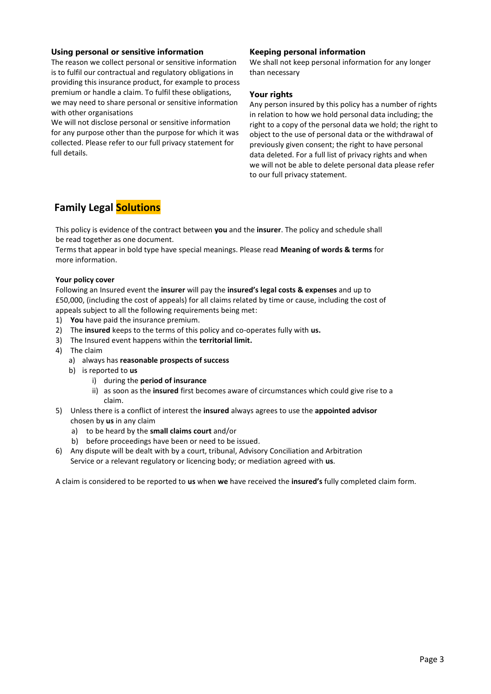#### **Using personal or sensitive information**

The reason we collect personal or sensitive information is to fulfil our contractual and regulatory obligations in providing this insurance product, for example to process premium or handle a claim. To fulfil these obligations, we may need to share personal or sensitive information with other organisations

We will not disclose personal or sensitive information for any purpose other than the purpose for which it was collected. Please refer to our full privacy statement for full details.

#### **Keeping personal information**

We shall not keep personal information for any longer than necessary

#### **Your rights**

Any person insured by this policy has a number of rights in relation to how we hold personal data including; the right to a copy of the personal data we hold; the right to object to the use of personal data or the withdrawal of previously given consent; the right to have personal data deleted. For a full list of privacy rights and when we will not be able to delete personal data please refer to our full privacy statement.

# **Family Legal Solutions**

This policy is evidence of the contract between **you** and the **insurer**. The policy and schedule shall be read together as one document.

Terms that appear in bold type have special meanings. Please read **Meaning of words & terms** for more information.

#### **Your policy cover**

Following an Insured event the **insurer** will pay the **insured's legal costs & expenses** and up to £50,000, (including the cost of appeals) for all claims related by time or cause, including the cost of appeals subject to all the following requirements being met:

- 1) **You** have paid the insurance premium.
- 2) The **insured** keeps to the terms of this policy and co-operates fully with **us.**
- 3) The Insured event happens within the **territorial limit.**
- 4) The claim
	- a) always has **reasonable prospects of success**
	- b) is reported to **us**
		- i) during the **period of insurance**
		- ii) as soon as the **insured** first becomes aware of circumstances which could give rise to a claim.
- 5) Unless there is a conflict of interest the **insured** always agrees to use the **appointed advisor**  chosen by **us** in any claim
	- a) to be heard by the **small claims court** and/or
	- b) before proceedings have been or need to be issued.
- 6) Any dispute will be dealt with by a court, tribunal, Advisory Conciliation and Arbitration Service or a relevant regulatory or licencing body; or mediation agreed with **us**.

A claim is considered to be reported to **us** when **we** have received the **insured's** fully completed claim form.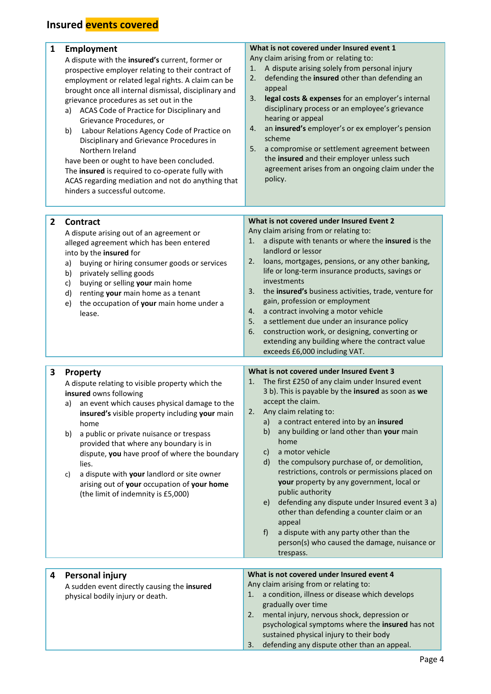| 1            | <b>Employment</b><br>A dispute with the insured's current, former or<br>prospective employer relating to their contract of<br>employment or related legal rights. A claim can be<br>brought once all internal dismissal, disciplinary and<br>grievance procedures as set out in the<br>ACAS Code of Practice for Disciplinary and<br>a)<br>Grievance Procedures, or<br>Labour Relations Agency Code of Practice on<br>b)<br>Disciplinary and Grievance Procedures in<br>Northern Ireland<br>have been or ought to have been concluded.<br>The insured is required to co-operate fully with<br>ACAS regarding mediation and not do anything that<br>hinders a successful outcome. | What is not covered under Insured event 1<br>Any claim arising from or relating to:<br>A dispute arising solely from personal injury<br>1.<br>defending the insured other than defending an<br>2.<br>appeal<br>legal costs & expenses for an employer's internal<br>3.<br>disciplinary process or an employee's grievance<br>hearing or appeal<br>an insured's employer's or ex employer's pension<br>4.<br>scheme<br>5.<br>a compromise or settlement agreement between<br>the insured and their employer unless such<br>agreement arises from an ongoing claim under the<br>policy.                                                                                                                                                                  |
|--------------|----------------------------------------------------------------------------------------------------------------------------------------------------------------------------------------------------------------------------------------------------------------------------------------------------------------------------------------------------------------------------------------------------------------------------------------------------------------------------------------------------------------------------------------------------------------------------------------------------------------------------------------------------------------------------------|--------------------------------------------------------------------------------------------------------------------------------------------------------------------------------------------------------------------------------------------------------------------------------------------------------------------------------------------------------------------------------------------------------------------------------------------------------------------------------------------------------------------------------------------------------------------------------------------------------------------------------------------------------------------------------------------------------------------------------------------------------|
| $\mathbf{2}$ | <b>Contract</b><br>A dispute arising out of an agreement or<br>alleged agreement which has been entered<br>into by the insured for<br>buying or hiring consumer goods or services<br>a)<br>privately selling goods<br>b)<br>buying or selling your main home<br>c)<br>d)<br>renting your main home as a tenant<br>the occupation of your main home under a<br>e)<br>lease.                                                                                                                                                                                                                                                                                                       | What is not covered under Insured Event 2<br>Any claim arising from or relating to:<br>a dispute with tenants or where the insured is the<br>1.<br>landlord or lessor<br>loans, mortgages, pensions, or any other banking,<br>2.<br>life or long-term insurance products, savings or<br>investments<br>the insured's business activities, trade, venture for<br>3.<br>gain, profession or employment<br>a contract involving a motor vehicle<br>4.<br>a settlement due under an insurance policy<br>5.<br>construction work, or designing, converting or<br>6.<br>extending any building where the contract value<br>exceeds £6,000 including VAT.                                                                                                     |
| 3            | Property<br>A dispute relating to visible property which the<br>insured owns following<br>an event which causes physical damage to the<br>a)<br>insured's visible property including your main<br>home<br>a public or private nuisance or trespass<br>b)<br>provided that where any boundary is in<br>dispute, you have proof of where the boundary<br>lies.<br>a dispute with your landlord or site owner<br>c)<br>arising out of your occupation of your home<br>(the limit of indemnity is £5,000)                                                                                                                                                                            | What is not covered under Insured Event 3<br>The first £250 of any claim under Insured event<br>1.<br>3 b). This is payable by the insured as soon as we<br>accept the claim.<br>Any claim relating to:<br>2.<br>a contract entered into by an insured<br>a)<br>any building or land other than your main<br>b)<br>home<br>a motor vehicle<br>C)<br>the compulsory purchase of, or demolition,<br>d)<br>restrictions, controls or permissions placed on<br>your property by any government, local or<br>public authority<br>defending any dispute under Insured event 3 a)<br>e)<br>other than defending a counter claim or an<br>appeal<br>a dispute with any party other than the<br>f)<br>person(s) who caused the damage, nuisance or<br>trespass. |
| 4            | Personal injury<br>A sudden event directly causing the insured<br>physical bodily injury or death.                                                                                                                                                                                                                                                                                                                                                                                                                                                                                                                                                                               | What is not covered under Insured event 4<br>Any claim arising from or relating to:<br>a condition, illness or disease which develops<br>1.<br>gradually over time<br>mental injury, nervous shock, depression or<br>2.<br>psychological symptoms where the insured has not<br>sustained physical injury to their body                                                                                                                                                                                                                                                                                                                                                                                                                                 |

3. defending any dispute other than an appeal.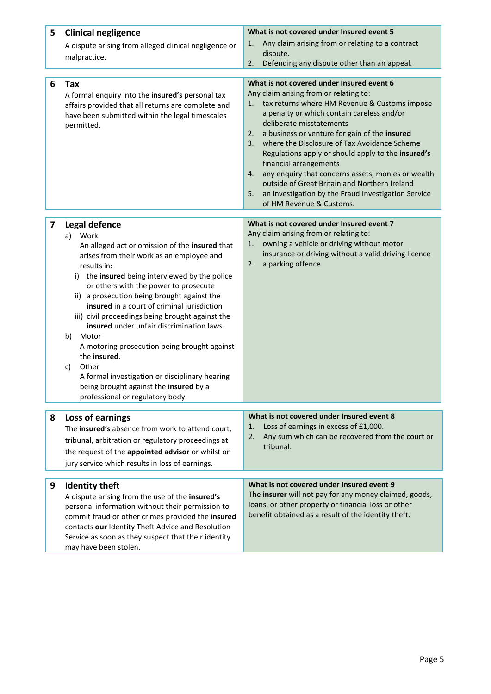| 5 | <b>Clinical negligence</b>                                                                          | What is not covered under Insured event 5<br>Any claim arising from or relating to a contract<br>1.       |  |
|---|-----------------------------------------------------------------------------------------------------|-----------------------------------------------------------------------------------------------------------|--|
|   | A dispute arising from alleged clinical negligence or                                               | dispute.                                                                                                  |  |
|   | malpractice.                                                                                        | Defending any dispute other than an appeal.<br>2.                                                         |  |
|   |                                                                                                     | What is not covered under Insured event 6                                                                 |  |
| 6 | Tax<br>A formal enquiry into the insured's personal tax                                             | Any claim arising from or relating to:                                                                    |  |
|   | affairs provided that all returns are complete and                                                  | tax returns where HM Revenue & Customs impose<br>1.                                                       |  |
|   | have been submitted within the legal timescales                                                     | a penalty or which contain careless and/or                                                                |  |
|   | permitted.                                                                                          | deliberate misstatements                                                                                  |  |
|   |                                                                                                     | a business or venture for gain of the insured<br>2.<br>where the Disclosure of Tax Avoidance Scheme<br>3. |  |
|   |                                                                                                     | Regulations apply or should apply to the insured's                                                        |  |
|   |                                                                                                     | financial arrangements                                                                                    |  |
|   |                                                                                                     | any enquiry that concerns assets, monies or wealth<br>4.                                                  |  |
|   |                                                                                                     | outside of Great Britain and Northern Ireland                                                             |  |
|   |                                                                                                     | an investigation by the Fraud Investigation Service<br>5.                                                 |  |
|   |                                                                                                     | of HM Revenue & Customs.                                                                                  |  |
| 7 | Legal defence                                                                                       | What is not covered under Insured event 7                                                                 |  |
|   | Work<br>a)                                                                                          | Any claim arising from or relating to:                                                                    |  |
|   | An alleged act or omission of the insured that                                                      | owning a vehicle or driving without motor<br>1.                                                           |  |
|   | arises from their work as an employee and                                                           | insurance or driving without a valid driving licence<br>2.<br>a parking offence.                          |  |
|   | results in:                                                                                         |                                                                                                           |  |
|   | i) the insured being interviewed by the police<br>or others with the power to prosecute             |                                                                                                           |  |
|   | ii) a prosecution being brought against the                                                         |                                                                                                           |  |
|   | insured in a court of criminal jurisdiction                                                         |                                                                                                           |  |
|   | iii) civil proceedings being brought against the                                                    |                                                                                                           |  |
|   | insured under unfair discrimination laws.                                                           |                                                                                                           |  |
|   | Motor<br>b)<br>A motoring prosecution being brought against                                         |                                                                                                           |  |
|   | the insured.                                                                                        |                                                                                                           |  |
|   | Other<br>c)                                                                                         |                                                                                                           |  |
|   | A formal investigation or disciplinary hearing                                                      |                                                                                                           |  |
|   | being brought against the insured by a                                                              |                                                                                                           |  |
|   | professional or regulatory body.                                                                    |                                                                                                           |  |
| 8 | Loss of earnings                                                                                    | What is not covered under Insured event 8                                                                 |  |
|   | The insured's absence from work to attend court,                                                    | Loss of earnings in excess of £1,000.<br>1.                                                               |  |
|   | tribunal, arbitration or regulatory proceedings at                                                  | Any sum which can be recovered from the court or<br>2.                                                    |  |
|   | the request of the appointed advisor or whilst on                                                   | tribunal.                                                                                                 |  |
|   | jury service which results in loss of earnings.                                                     |                                                                                                           |  |
|   |                                                                                                     |                                                                                                           |  |
| 9 | <b>Identity theft</b>                                                                               | What is not covered under Insured event 9<br>The insurer will not pay for any money claimed, goods,       |  |
|   | A dispute arising from the use of the insured's<br>personal information without their permission to | loans, or other property or financial loss or other                                                       |  |
|   | commit fraud or other crimes provided the insured                                                   | benefit obtained as a result of the identity theft.                                                       |  |
|   | contacts our Identity Theft Advice and Resolution                                                   |                                                                                                           |  |
|   | Service as soon as they suspect that their identity                                                 |                                                                                                           |  |
|   | may have been stolen.                                                                               |                                                                                                           |  |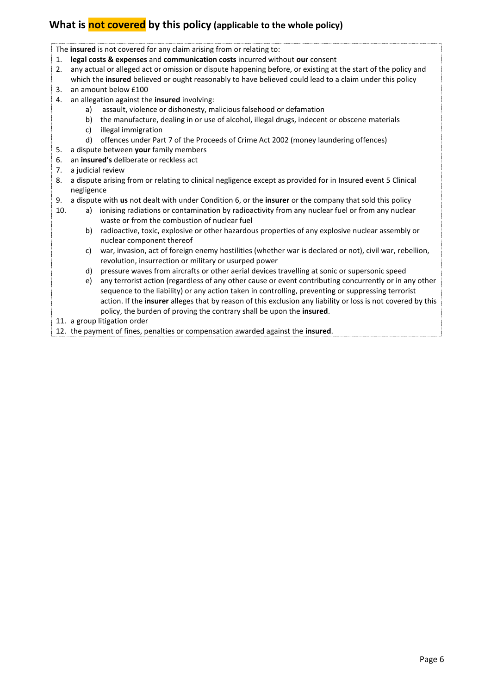# **What is not covered by this policy (applicable to the whole policy)**

The **insured** is not covered for any claim arising from or relating to:

- 1. **legal costs & expenses** and **communication costs** incurred without **our** consent
- 2. any actual or alleged act or omission or dispute happening before, or existing at the start of the policy and which the **insured** believed or ought reasonably to have believed could lead to a claim under this policy
- 3. an amount below £100
- 4. an allegation against the **insured** involving:
	- a) assault, violence or dishonesty, malicious falsehood or defamation
	- b) the manufacture, dealing in or use of alcohol, illegal drugs, indecent or obscene materials
	- c) illegal immigration
	- d) offences under Part 7 of the Proceeds of Crime Act 2002 (money laundering offences)
- 5. a dispute between **your** family members
- 6. an **insured's** deliberate or reckless act
- 7. a judicial review
- 8. a dispute arising from or relating to clinical negligence except as provided for in Insured event 5 Clinical negligence
- 9. a dispute with **us** not dealt with under Condition 6, or the **insurer** or the company that sold this policy
- 10. a) ionising radiations or contamination by radioactivity from any nuclear fuel or from any nuclear waste or from the combustion of nuclear fuel
	- b) radioactive, toxic, explosive or other hazardous properties of any explosive nuclear assembly or nuclear component thereof
	- c) war, invasion, act of foreign enemy hostilities (whether war is declared or not), civil war, rebellion, revolution, insurrection or military or usurped power
	- d) pressure waves from aircrafts or other aerial devices travelling at sonic or supersonic speed
	- e) any terrorist action (regardless of any other cause or event contributing concurrently or in any other sequence to the liability) or any action taken in controlling, preventing or suppressing terrorist action. If the **insurer** alleges that by reason of this exclusion any liability or loss is not covered by this policy, the burden of proving the contrary shall be upon the **insured**.
- 11. a group litigation order
- 12. the payment of fines, penalties or compensation awarded against the **insured**.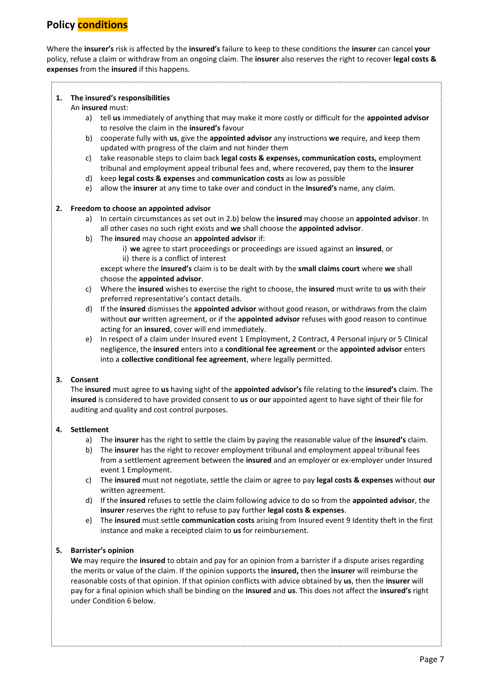# **Policy conditions**

Where the **insurer's** risk is affected by the **insured's** failure to keep to these conditions the **insurer** can cancel **your** policy, refuse a claim or withdraw from an ongoing claim. The **insurer** also reserves the right to recover **legal costs & expenses** from the **insured** if this happens.

#### **1. The insured's responsibilities**

#### An **insured** must:

- a) tell **us** immediately of anything that may make it more costly or difficult for the **appointed advisor** to resolve the claim in the **insured's** favour
- b) cooperate fully with **us**, give the **appointed advisor** any instructions **we** require, and keep them updated with progress of the claim and not hinder them
- c) take reasonable steps to claim back **legal costs & expenses, communication costs,** employment tribunal and employment appeal tribunal fees and, where recovered, pay them to the **insurer**
- d) keep **legal costs & expenses** and **communication costs** as low as possible
- e) allow the **insurer** at any time to take over and conduct in the **insured's** name, any claim.

#### **2. Freedom to choose an appointed advisor**

- a) In certain circumstances as set out in 2.b) below the **insured** may choose an **appointed advisor**. In all other cases no such right exists and **we** shall choose the **appointed advisor**.
- b) The **insured** may choose an **appointed advisor** if:
	- i) **we** agree to start proceedings or proceedings are issued against an **insured**, or ii) there is a conflict of interest

except where the **insured's** claim is to be dealt with by the **small claims court** where **we** shall choose the **appointed advisor**.

- c) Where the **insured** wishes to exercise the right to choose, the **insured** must write to **us** with their preferred representative's contact details.
- d) If the **insured** dismisses the **appointed advisor** without good reason, or withdraws from the claim without **our** written agreement, or if the **appointed advisor** refuses with good reason to continue acting for an **insured**, cover will end immediately.
- e) In respect of a claim under Insured event 1 Employment, 2 Contract, 4 Personal injury or 5 Clinical negligence, the **insured** enters into a **conditional fee agreement** or the **appointed advisor** enters into a **collective conditional fee agreement**, where legally permitted.

#### **3. Consent**

The **insured** must agree to **us** having sight of the **appointed advisor's** file relating to the **insured's** claim. The **insured** is considered to have provided consent to **us** or **our** appointed agent to have sight of their file for auditing and quality and cost control purposes.

#### **4. Settlement**

- a) The **insurer** has the right to settle the claim by paying the reasonable value of the **insured's** claim.
- b) The **insurer** has the right to recover employment tribunal and employment appeal tribunal fees from a settlement agreement between the **insured** and an employer or ex-employer under Insured event 1 Employment.
- c) The **insured** must not negotiate, settle the claim or agree to pay **legal costs & expenses** without **our** written agreement.
- d) If the **insured** refuses to settle the claim following advice to do so from the **appointed advisor**, the **insurer** reserves the right to refuse to pay further **legal costs & expenses**.
- e) The **insured** must settle **communication costs** arising from Insured event 9 Identity theft in the first instance and make a receipted claim to **us** for reimbursement.

#### **5. Barrister's opinion**

**We** may require the **insured** to obtain and pay for an opinion from a barrister if a dispute arises regarding the merits or value of the claim. If the opinion supports the **insured,** then the **insurer** will reimburse the reasonable costs of that opinion. If that opinion conflicts with advice obtained by **us**, then the **insurer** will pay for a final opinion which shall be binding on the **insured** and **us**. This does not affect the **insured's** right under Condition 6 below.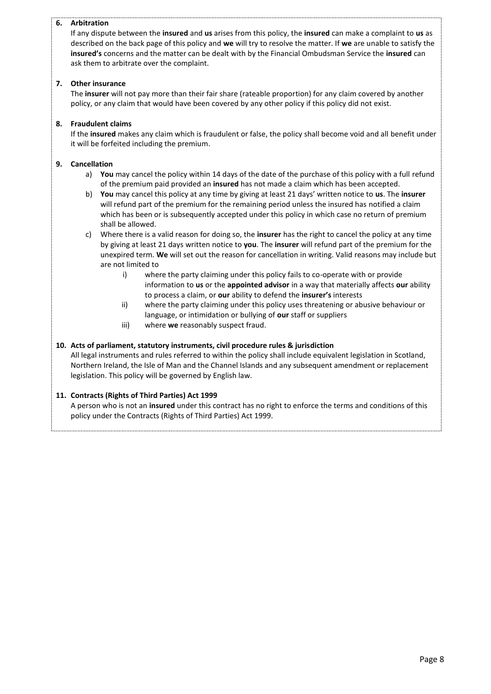#### **6. Arbitration**

If any dispute between the **insured** and **us** arises from this policy, the **insured** can make a complaint to **us** as described on the back page of this policy and **we** will try to resolve the matter. If **we** are unable to satisfy the **insured's** concerns and the matter can be dealt with by the Financial Ombudsman Service the **insured** can ask them to arbitrate over the complaint.

#### **7. Other insurance**

The **insurer** will not pay more than their fair share (rateable proportion) for any claim covered by another policy, or any claim that would have been covered by any other policy if this policy did not exist.

#### **8. Fraudulent claims**

If the **insured** makes any claim which is fraudulent or false, the policy shall become void and all benefit under it will be forfeited including the premium.

#### **9. Cancellation**

- a) **You** may cancel the policy within 14 days of the date of the purchase of this policy with a full refund of the premium paid provided an **insured** has not made a claim which has been accepted.
- b) **You** may cancel this policy at any time by giving at least 21 days' written notice to **us**. The **insurer**  will refund part of the premium for the remaining period unless the insured has notified a claim which has been or is subsequently accepted under this policy in which case no return of premium shall be allowed.
- c) Where there is a valid reason for doing so, the **insurer** has the right to cancel the policy at any time by giving at least 21 days written notice to **you**. The **insurer** will refund part of the premium for the unexpired term. **We** will set out the reason for cancellation in writing. Valid reasons may include but are not limited to
	- i) where the party claiming under this policy fails to co-operate with or provide information to **us** or the **appointed advisor** in a way that materially affects **our** ability to process a claim, or **our** ability to defend the **insurer's** interests
	- ii) where the party claiming under this policy uses threatening or abusive behaviour or language, or intimidation or bullying of **our** staff or suppliers
	- iii) where **we** reasonably suspect fraud.

#### **10. Acts of parliament, statutory instruments, civil procedure rules & jurisdiction**

All legal instruments and rules referred to within the policy shall include equivalent legislation in Scotland, Northern Ireland, the Isle of Man and the Channel Islands and any subsequent amendment or replacement legislation. This policy will be governed by English law.

#### **11. Contracts (Rights of Third Parties) Act 1999**

A person who is not an **insured** under this contract has no right to enforce the terms and conditions of this policy under the Contracts (Rights of Third Parties) Act 1999.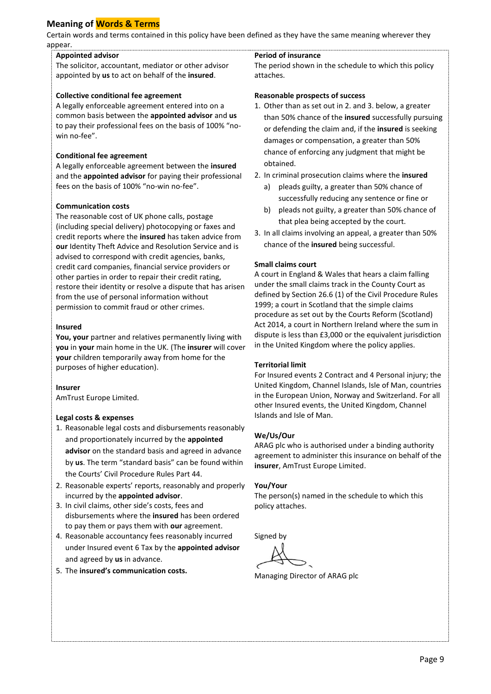## **Meaning of Words & Terms**

Certain words and terms contained in this policy have been defined as they have the same meaning wherever they appear.

#### **Appointed advisor**

The solicitor, accountant, mediator or other advisor appointed by **us** to act on behalf of the **insured**.

#### **Collective conditional fee agreement**

A legally enforceable agreement entered into on a common basis between the **appointed advisor** and **us** to pay their professional fees on the basis of 100% "nowin no-fee".

#### **Conditional fee agreement**

A legally enforceable agreement between the **insured** and the **appointed advisor** for paying their professional fees on the basis of 100% "no-win no-fee".

#### **Communication costs**

The reasonable cost of UK phone calls, postage (including special delivery) photocopying or faxes and credit reports where the **insured** has taken advice from **our** Identity Theft Advice and Resolution Service and is advised to correspond with credit agencies, banks, credit card companies, financial service providers or other parties in order to repair their credit rating, restore their identity or resolve a dispute that has arisen from the use of personal information without permission to commit fraud or other crimes.

#### **Insured**

**You, your** partner and relatives permanently living with **you** in **your** main home in the UK. (The **insurer** will cover **your** children temporarily away from home for the purposes of higher education).

#### **Insurer**

AmTrust Europe Limited.

#### **Legal costs & expenses**

- 1. Reasonable legal costs and disbursements reasonably and proportionately incurred by the **appointed advisor** on the standard basis and agreed in advance by **us**. The term "standard basis" can be found within the Courts' Civil Procedure Rules Part 44.
- 2. Reasonable experts' reports, reasonably and properly incurred by the **appointed advisor**.
- 3. In civil claims, other side's costs, fees and disbursements where the **insured** has been ordered to pay them or pays them with **our** agreement.
- 4. Reasonable accountancy fees reasonably incurred under Insured event 6 Tax by the **appointed advisor**  and agreed by **us** in advance.
- 5. The **insured's communication costs.**

#### **Period of insurance**

The period shown in the schedule to which this policy attaches.

#### **Reasonable prospects of success**

- 1. Other than as set out in 2. and 3. below, a greater than 50% chance of the **insured** successfully pursuing or defending the claim and, if the **insured** is seeking damages or compensation, a greater than 50% chance of enforcing any judgment that might be obtained.
- 2. In criminal prosecution claims where the **insured**
	- a) pleads guilty, a greater than 50% chance of successfully reducing any sentence or fine or
	- b) pleads not guilty, a greater than 50% chance of that plea being accepted by the court.
- 3. In all claims involving an appeal, a greater than 50% chance of the **insured** being successful.

#### **Small claims court**

A court in England & Wales that hears a claim falling under the small claims track in the County Court as defined by Section 26.6 (1) of the Civil Procedure Rules 1999; a court in Scotland that the simple claims procedure as set out by the Courts Reform (Scotland) Act 2014, a court in Northern Ireland where the sum in dispute is less than £3,000 or the equivalent jurisdiction in the United Kingdom where the policy applies.

#### **Territorial limit**

For Insured events 2 Contract and 4 Personal injury; the United Kingdom, Channel Islands, Isle of Man, countries in the European Union, Norway and Switzerland. For all other Insured events, the United Kingdom, Channel Islands and Isle of Man.

#### **We/Us/Our**

ARAG plc who is authorised under a binding authority agreement to administer this insurance on behalf of the **insurer**, AmTrust Europe Limited.

#### **You/Your**

The person(s) named in the schedule to which this policy attaches.

Signed by

Managing Director of ARAG plc